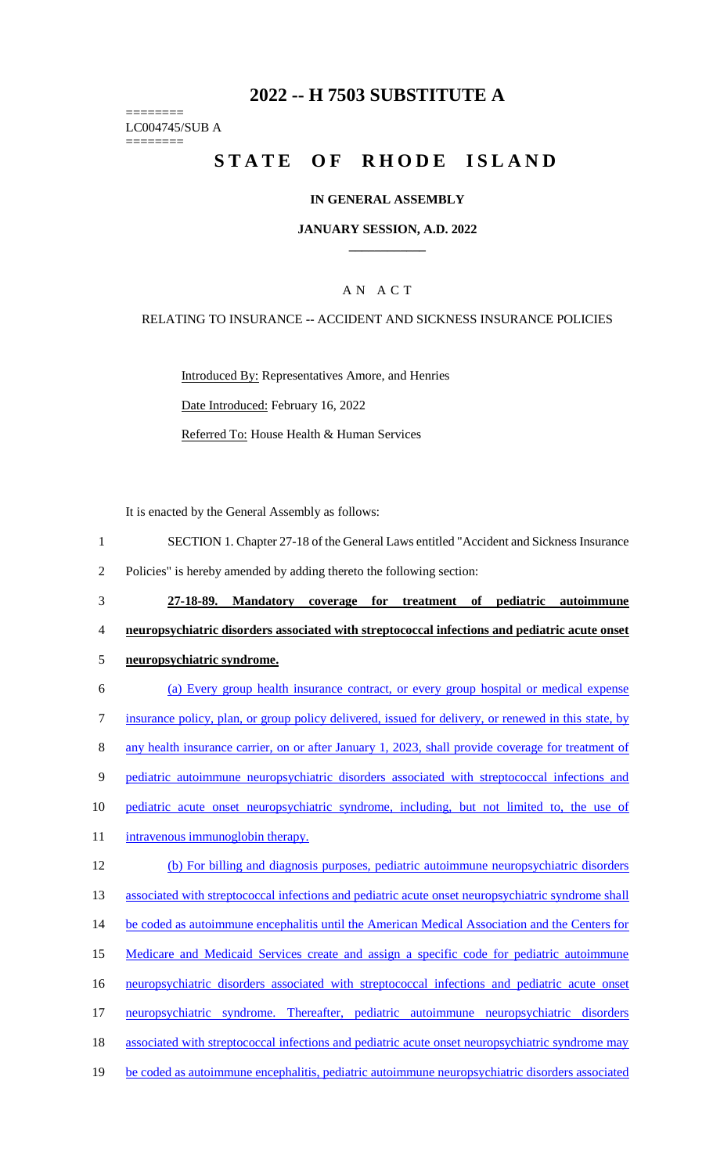# **2022 -- H 7503 SUBSTITUTE A**

======== LC004745/SUB A ========

# STATE OF RHODE ISLAND

### **IN GENERAL ASSEMBLY**

#### **JANUARY SESSION, A.D. 2022 \_\_\_\_\_\_\_\_\_\_\_\_**

## A N A C T

RELATING TO INSURANCE -- ACCIDENT AND SICKNESS INSURANCE POLICIES

Introduced By: Representatives Amore, and Henries Date Introduced: February 16, 2022 Referred To: House Health & Human Services

It is enacted by the General Assembly as follows:

| SECTION 1. Chapter 27-18 of the General Laws entitled "Accident and Sickness Insurance" |
|-----------------------------------------------------------------------------------------|
|-----------------------------------------------------------------------------------------|

2 Policies" is hereby amended by adding thereto the following section:

- 3 **27-18-89. Mandatory coverage for treatment of pediatric autoimmune**  4 **neuropsychiatric disorders associated with streptococcal infections and pediatric acute onset**  5 **neuropsychiatric syndrome.**
- 6 (a) Every group health insurance contract, or every group hospital or medical expense 7 insurance policy, plan, or group policy delivered, issued for delivery, or renewed in this state, by 8 any health insurance carrier, on or after January 1, 2023, shall provide coverage for treatment of 9 pediatric autoimmune neuropsychiatric disorders associated with streptococcal infections and 10 pediatric acute onset neuropsychiatric syndrome, including, but not limited to, the use of 11 intravenous immunoglobin therapy. 12 (b) For billing and diagnosis purposes, pediatric autoimmune neuropsychiatric disorders 13 associated with streptococcal infections and pediatric acute onset neuropsychiatric syndrome shall 14 be coded as autoimmune encephalitis until the American Medical Association and the Centers for 15 Medicare and Medicaid Services create and assign a specific code for pediatric autoimmune 16 neuropsychiatric disorders associated with streptococcal infections and pediatric acute onset 17 neuropsychiatric syndrome. Thereafter, pediatric autoimmune neuropsychiatric disorders 18 associated with streptococcal infections and pediatric acute onset neuropsychiatric syndrome may 19 be coded as autoimmune encephalitis, pediatric autoimmune neuropsychiatric disorders associated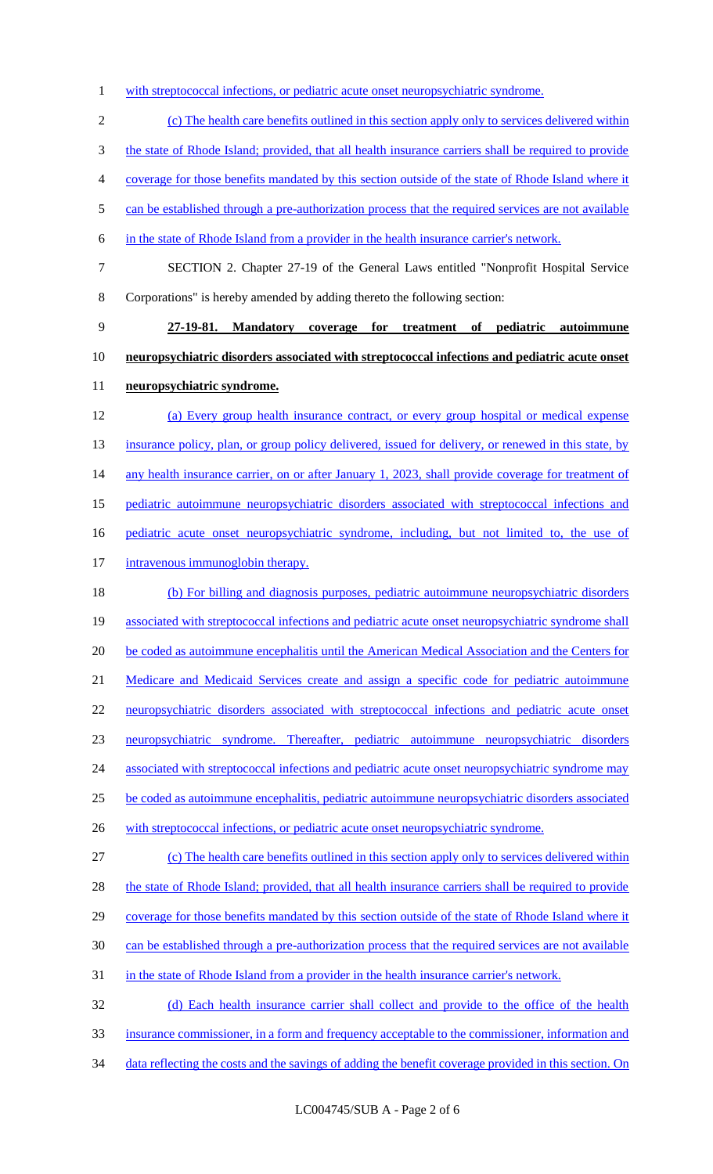1 with streptococcal infections, or pediatric acute onset neuropsychiatric syndrome.

 (c) The health care benefits outlined in this section apply only to services delivered within the state of Rhode Island; provided, that all health insurance carriers shall be required to provide coverage for those benefits mandated by this section outside of the state of Rhode Island where it 5 can be established through a pre-authorization process that the required services are not available in the state of Rhode Island from a provider in the health insurance carrier's network. SECTION 2. Chapter 27-19 of the General Laws entitled "Nonprofit Hospital Service Corporations" is hereby amended by adding thereto the following section: **27-19-81. Mandatory coverage for treatment of pediatric autoimmune neuropsychiatric disorders associated with streptococcal infections and pediatric acute onset neuropsychiatric syndrome.**  (a) Every group health insurance contract, or every group hospital or medical expense 13 insurance policy, plan, or group policy delivered, issued for delivery, or renewed in this state, by 14 any health insurance carrier, on or after January 1, 2023, shall provide coverage for treatment of pediatric autoimmune neuropsychiatric disorders associated with streptococcal infections and 16 pediatric acute onset neuropsychiatric syndrome, including, but not limited to, the use of 17 intravenous immunoglobin therapy. (b) For billing and diagnosis purposes, pediatric autoimmune neuropsychiatric disorders associated with streptococcal infections and pediatric acute onset neuropsychiatric syndrome shall 20 be coded as autoimmune encephalitis until the American Medical Association and the Centers for Medicare and Medicaid Services create and assign a specific code for pediatric autoimmune neuropsychiatric disorders associated with streptococcal infections and pediatric acute onset neuropsychiatric syndrome. Thereafter, pediatric autoimmune neuropsychiatric disorders 24 associated with streptococcal infections and pediatric acute onset neuropsychiatric syndrome may be coded as autoimmune encephalitis, pediatric autoimmune neuropsychiatric disorders associated 26 with streptococcal infections, or pediatric acute onset neuropsychiatric syndrome. (c) The health care benefits outlined in this section apply only to services delivered within 28 the state of Rhode Island; provided, that all health insurance carriers shall be required to provide 29 coverage for those benefits mandated by this section outside of the state of Rhode Island where it can be established through a pre-authorization process that the required services are not available 31 in the state of Rhode Island from a provider in the health insurance carrier's network. (d) Each health insurance carrier shall collect and provide to the office of the health insurance commissioner, in a form and frequency acceptable to the commissioner, information and 34 data reflecting the costs and the savings of adding the benefit coverage provided in this section. On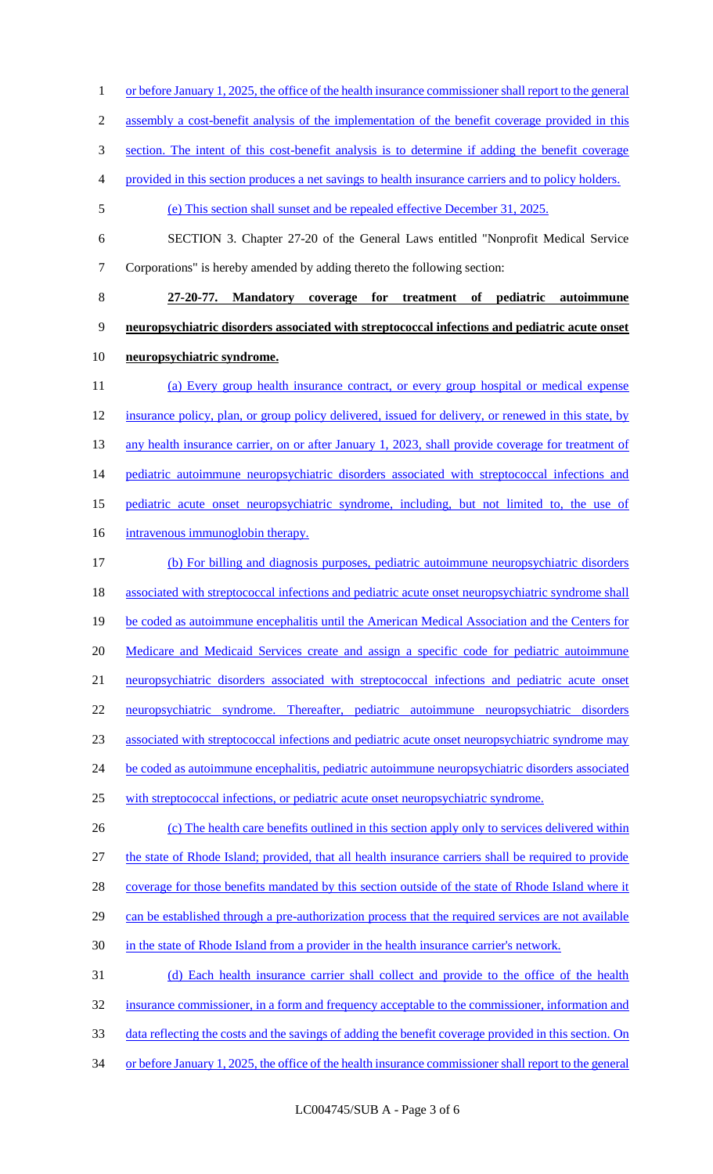assembly a cost-benefit analysis of the implementation of the benefit coverage provided in this section. The intent of this cost-benefit analysis is to determine if adding the benefit coverage provided in this section produces a net savings to health insurance carriers and to policy holders. (e) This section shall sunset and be repealed effective December 31, 2025. SECTION 3. Chapter 27-20 of the General Laws entitled "Nonprofit Medical Service Corporations" is hereby amended by adding thereto the following section: **27-20-77. Mandatory coverage for treatment of pediatric autoimmune neuropsychiatric disorders associated with streptococcal infections and pediatric acute onset neuropsychiatric syndrome.**  (a) Every group health insurance contract, or every group hospital or medical expense 12 insurance policy, plan, or group policy delivered, issued for delivery, or renewed in this state, by 13 any health insurance carrier, on or after January 1, 2023, shall provide coverage for treatment of 14 pediatric autoimmune neuropsychiatric disorders associated with streptococcal infections and pediatric acute onset neuropsychiatric syndrome, including, but not limited to, the use of 16 intravenous immunoglobin therapy. (b) For billing and diagnosis purposes, pediatric autoimmune neuropsychiatric disorders 18 associated with streptococcal infections and pediatric acute onset neuropsychiatric syndrome shall 19 be coded as autoimmune encephalitis until the American Medical Association and the Centers for 20 Medicare and Medicaid Services create and assign a specific code for pediatric autoimmune neuropsychiatric disorders associated with streptococcal infections and pediatric acute onset neuropsychiatric syndrome. Thereafter, pediatric autoimmune neuropsychiatric disorders associated with streptococcal infections and pediatric acute onset neuropsychiatric syndrome may 24 be coded as autoimmune encephalitis, pediatric autoimmune neuropsychiatric disorders associated with streptococcal infections, or pediatric acute onset neuropsychiatric syndrome. 26 (c) The health care benefits outlined in this section apply only to services delivered within the state of Rhode Island; provided, that all health insurance carriers shall be required to provide 28 coverage for those benefits mandated by this section outside of the state of Rhode Island where it 29 can be established through a pre-authorization process that the required services are not available in the state of Rhode Island from a provider in the health insurance carrier's network. (d) Each health insurance carrier shall collect and provide to the office of the health insurance commissioner, in a form and frequency acceptable to the commissioner, information and 33 data reflecting the costs and the savings of adding the benefit coverage provided in this section. On 34 or before January 1, 2025, the office of the health insurance commissioner shall report to the general

1 or before January 1, 2025, the office of the health insurance commissioner shall report to the general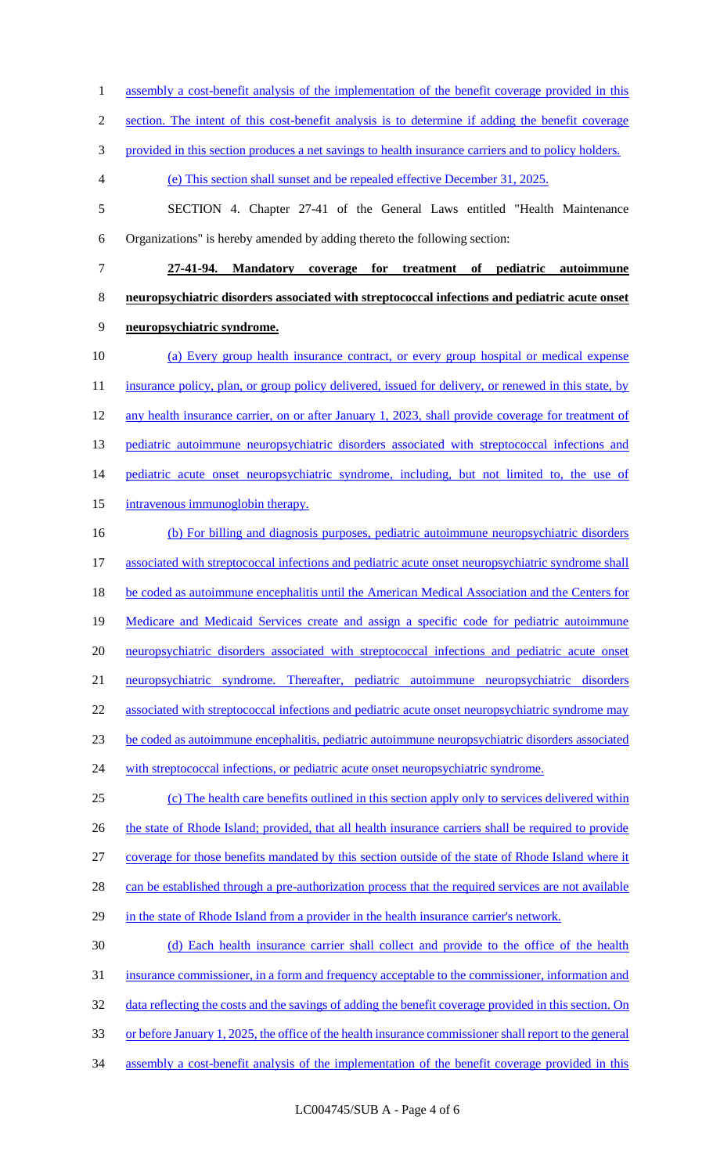1 assembly a cost-benefit analysis of the implementation of the benefit coverage provided in this

2 section. The intent of this cost-benefit analysis is to determine if adding the benefit coverage

3 provided in this section produces a net savings to health insurance carriers and to policy holders.

4 (e) This section shall sunset and be repealed effective December 31, 2025.

5 SECTION 4. Chapter 27-41 of the General Laws entitled "Health Maintenance 6 Organizations" is hereby amended by adding thereto the following section:

7 **27-41-94. Mandatory coverage for treatment of pediatric autoimmune**  8 **neuropsychiatric disorders associated with streptococcal infections and pediatric acute onset**  9 **neuropsychiatric syndrome.** 

10 (a) Every group health insurance contract, or every group hospital or medical expense 11 insurance policy, plan, or group policy delivered, issued for delivery, or renewed in this state, by 12 any health insurance carrier, on or after January 1, 2023, shall provide coverage for treatment of 13 pediatric autoimmune neuropsychiatric disorders associated with streptococcal infections and 14 pediatric acute onset neuropsychiatric syndrome, including, but not limited to, the use of 15 intravenous immunoglobin therapy.

16 (b) For billing and diagnosis purposes, pediatric autoimmune neuropsychiatric disorders 17 associated with streptococcal infections and pediatric acute onset neuropsychiatric syndrome shall 18 be coded as autoimmune encephalitis until the American Medical Association and the Centers for 19 Medicare and Medicaid Services create and assign a specific code for pediatric autoimmune 20 neuropsychiatric disorders associated with streptococcal infections and pediatric acute onset 21 neuropsychiatric syndrome. Thereafter, pediatric autoimmune neuropsychiatric disorders 22 associated with streptococcal infections and pediatric acute onset neuropsychiatric syndrome may 23 be coded as autoimmune encephalitis, pediatric autoimmune neuropsychiatric disorders associated 24 with streptococcal infections, or pediatric acute onset neuropsychiatric syndrome. 25 (c) The health care benefits outlined in this section apply only to services delivered within

26 the state of Rhode Island; provided, that all health insurance carriers shall be required to provide 27 coverage for those benefits mandated by this section outside of the state of Rhode Island where it 28 can be established through a pre-authorization process that the required services are not available 29 in the state of Rhode Island from a provider in the health insurance carrier's network.

 (d) Each health insurance carrier shall collect and provide to the office of the health insurance commissioner, in a form and frequency acceptable to the commissioner, information and 32 data reflecting the costs and the savings of adding the benefit coverage provided in this section. On or before January 1, 2025, the office of the health insurance commissioner shall report to the general

34 assembly a cost-benefit analysis of the implementation of the benefit coverage provided in this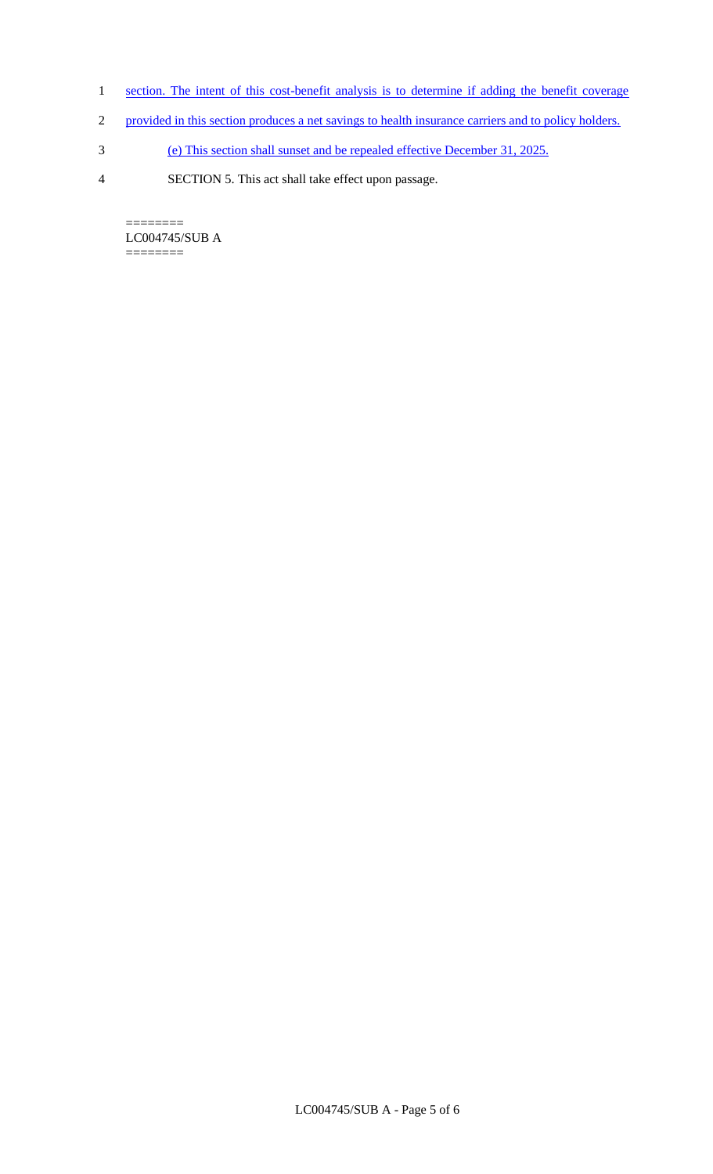- 1 section. The intent of this cost-benefit analysis is to determine if adding the benefit coverage
- 2 provided in this section produces a net savings to health insurance carriers and to policy holders.
- 3 (e) This section shall sunset and be repealed effective December 31, 2025.
- 4 SECTION 5. This act shall take effect upon passage.

======== LC004745/SUB A  $=$